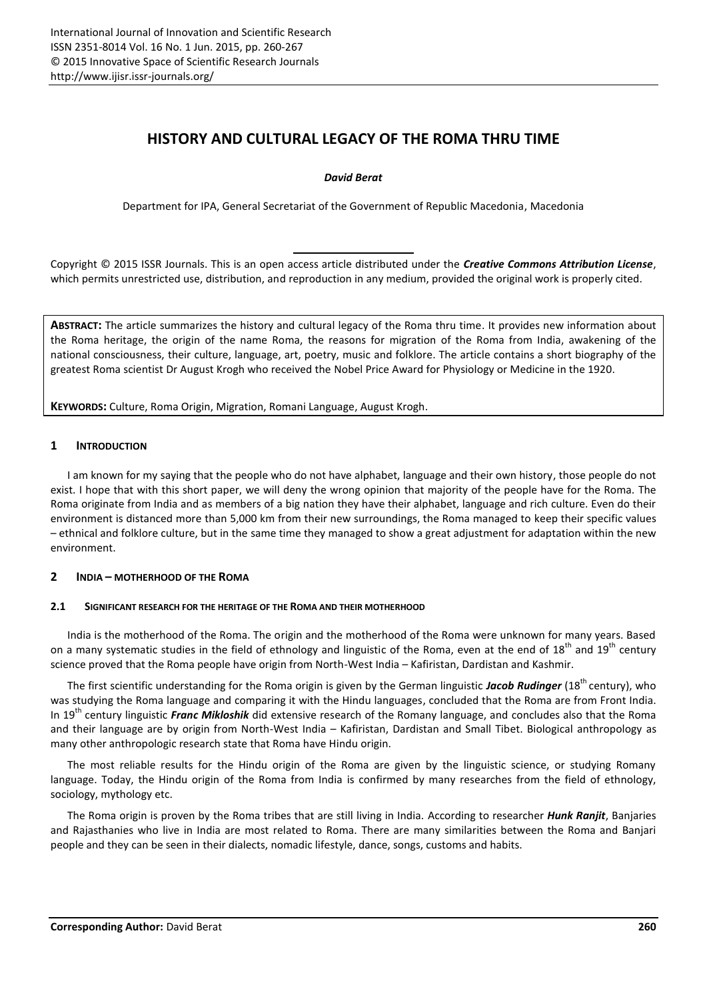# **HISTORY AND CULTURAL LEGACY OF THE ROMA THRU TIME**

# *David Berat*

Department for IPA, General Secretariat of the Government of Republic Macedonia, Macedonia

Copyright © 2015 ISSR Journals. This is an open access article distributed under the *Creative Commons Attribution License*, which permits unrestricted use, distribution, and reproduction in any medium, provided the original work is properly cited.

**ABSTRACT:** The article summarizes the history and cultural legacy of the Roma thru time. It provides new information about the Roma heritage, the origin of the name Roma, the reasons for migration of the Roma from India, awakening of the national consciousness, their culture, language, art, poetry, music and folklore. The article contains a short biography of the greatest Roma scientist Dr August Krogh who received the Nobel Price Award for Physiology or Medicine in the 1920.

**KEYWORDS:** Culture, Roma Origin, Migration, Romani Language, August Krogh.

# **1 INTRODUCTION**

I am known for my saying that the people who do not have alphabet, language and their own history, those people do not exist. I hope that with this short paper, we will deny the wrong opinion that majority of the people have for the Roma. The Roma originate from India and as members of a big nation they have their alphabet, language and rich culture. Even do their environment is distanced more than 5,000 km from their new surroundings, the Roma managed to keep their specific values – ethnical and folklore culture, but in the same time they managed to show a great adjustment for adaptation within the new environment.

# **2 INDIA – MOTHERHOOD OF THE ROMA**

# **2.1 SIGNIFICANT RESEARCH FOR THE HERITAGE OF THE ROMA AND THEIR MOTHERHOOD**

India is the motherhood of the Roma. The origin and the motherhood of the Roma were unknown for many years. Based on a many systematic studies in the field of ethnology and linguistic of the Roma, even at the end of 18<sup>th</sup> and 19<sup>th</sup> century science proved that the Roma people have origin from North-West India – Kafiristan, Dardistan and Kashmir.

The first scientific understanding for the Roma origin is given by the German linguistic **Jacob Rudinger** (18<sup>th</sup> century), who was studying the Roma language and comparing it with the Hindu languages, concluded that the Roma are from Front India. In 19<sup>th</sup> century linguistic *Franc Mikloshik* did extensive research of the Romany language, and concludes also that the Roma and their language are by origin from North-West India – Kafiristan, Dardistan and Small Tibet. Biological anthropology as many other anthropologic research state that Roma have Hindu origin.

The most reliable results for the Hindu origin of the Roma are given by the linguistic science, or studying Romany language. Today, the Hindu origin of the Roma from India is confirmed by many researches from the field of ethnology, sociology, mythology etc.

The Roma origin is proven by the Roma tribes that are still living in India. According to researcher *Hunk Ranjit*, Banjaries and Rajasthanies who live in India are most related to Roma. There are many similarities between the Roma and Banjari people and they can be seen in their dialects, nomadic lifestyle, dance, songs, customs and habits.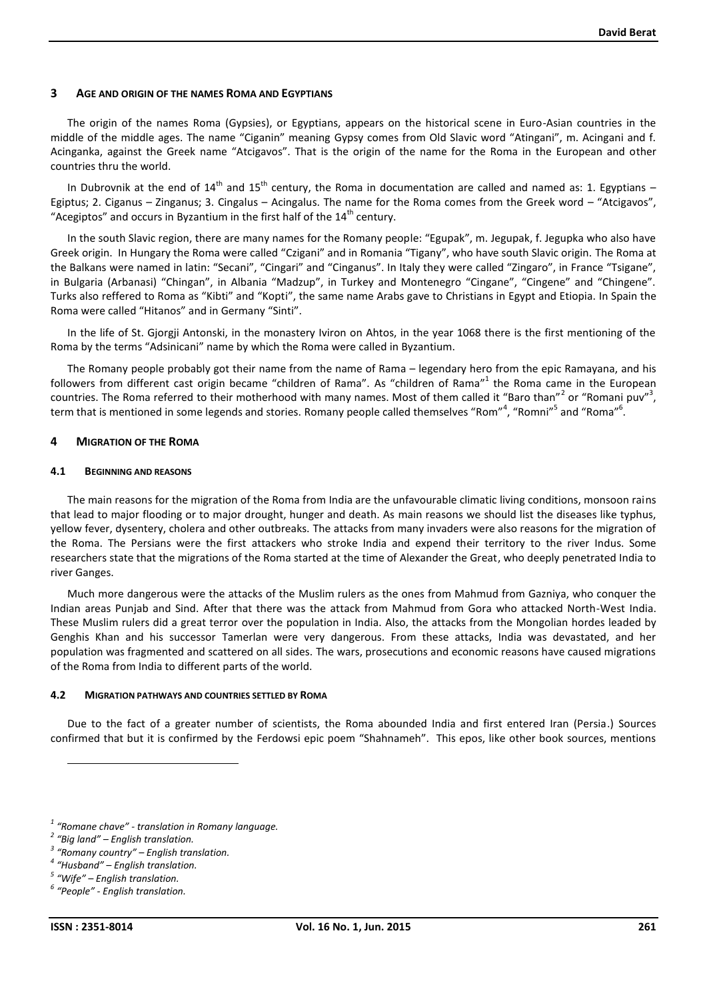## **3 AGE AND ORIGIN OF THE NAMES ROMA AND EGYPTIANS**

The origin of the names Roma (Gypsies), or Egyptians, appears on the historical scene in Euro-Asian countries in the middle of the middle ages. The name "Ciganin" meaning Gypsy comes from Old Slavic word "Atingani", m. Acingani and f. Acinganka, against the Greek name "Atcigavos". That is the origin of the name for the Roma in the European and other countries thru the world.

In Dubrovnik at the end of  $14<sup>th</sup>$  and  $15<sup>th</sup>$  century, the Roma in documentation are called and named as: 1. Egyptians – Egiptus; 2. Ciganus – Zinganus; 3. Cingalus – Acingalus. The name for the Roma comes from the Greek word – "Atcigavos", "Acegiptos" and occurs in Byzantium in the first half of the  $14<sup>th</sup>$  century.

In the south Slavic region, there are many names for the Romany people: "Egupak", m. Jegupak, f. Jegupka who also have Greek origin. In Hungary the Roma were called "Czigani" and in Romania "Tigany", who have south Slavic origin. The Roma at the Balkans were named in latin: "Secani", "Cingari" and "Cinganus". In Italy they were called "Zingaro", in France "Tsigane", in Bulgaria (Arbanasi) "Chingan", in Albania "Madzup", in Turkey and Montenegro "Cingane", "Cingene" and "Chingene". Turks also reffered to Roma as "Kibti" and "Kopti", the same name Arabs gave to Christians in Egypt and Etiopia. In Spain the Roma were called "Hitanos" and in Germany "Sinti".

In the life of St. Gjorgji Antonski, in the monastery Iviron on Ahtos, in the year 1068 there is the first mentioning of the Roma by the terms "Adsinicani" name by which the Roma were called in Byzantium.

The Romany people probably got their name from the name of Rama – legendary hero from the epic Ramayana, and his followers from different cast origin became "children of Rama". As "children of Rama"<sup>1</sup> the Roma came in the European countries. The Roma referred to their motherhood with many names. Most of them called it "Baro than"<sup>2</sup> or "Romani puv"<sup>3</sup>, term that is mentioned in some legends and stories. Romany people called themselves "Rom"<sup>4</sup>, "Romni"<sup>5</sup> and "Roma"<sup>6</sup>.

# **4 MIGRATION OF THE ROMA**

#### **4.1 BEGINNING AND REASONS**

The main reasons for the migration of the Roma from India are the unfavourable climatic living conditions, monsoon rains that lead to major flooding or to major drought, hunger and death. As main reasons we should list the diseases like typhus, yellow fever, dysentery, cholera and other outbreaks. The attacks from many invaders were also reasons for the migration of the Roma. The Persians were the first attackers who stroke India and expend their territory to the river Indus. Some researchers state that the migrations of the Roma started at the time of Alexander the Great, who deeply penetrated India to river Ganges.

Much more dangerous were the attacks of the Muslim rulers as the ones from Mahmud from Gazniya, who conquer the Indian areas Punjab and Sind. After that there was the attack from Mahmud from Gora who attacked North-West India. These Muslim rulers did a great terror over the population in India. Also, the attacks from the Mongolian hordes leaded by Genghis Khan and his successor Tamerlan were very dangerous. From these attacks, India was devastated, and her population was fragmented and scattered on all sides. The wars, prosecutions and economic reasons have caused migrations of the Roma from India to different parts of the world.

#### **4.2 MIGRATION PATHWAYS AND COUNTRIES SETTLED BY ROMA**

Due to the fact of a greater number of scientists, the Roma abounded India and first entered Iran (Persia.) Sources confirmed that but it is confirmed by the Ferdowsi epic poem "Shahnameh". This epos, like other book sources, mentions

<sup>&</sup>lt;sup>1</sup> "Romane chave" - translation in Romany language.<br>
<sup>2</sup> "Big land" – English translation.<br>
<sup>3</sup> "Romany country" – English translation.<br>
<sup>4</sup> "Husband" – English translation.<br>
<sup>5</sup> "Wife" – English translation.<br>
<sup>6</sup> "Peopl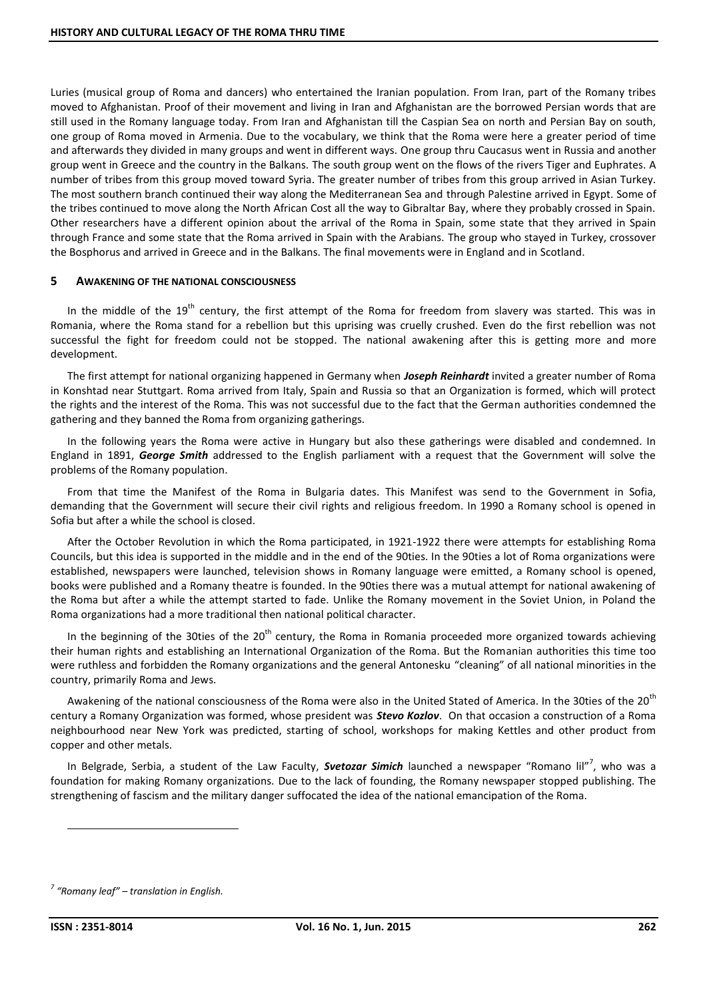Luries (musical group of Roma and dancers) who entertained the Iranian population. From Iran, part of the Romany tribes moved to Afghanistan. Proof of their movement and living in Iran and Afghanistan are the borrowed Persian words that are still used in the Romany language today. From Iran and Afghanistan till the Caspian Sea on north and Persian Bay on south, one group of Roma moved in Armenia. Due to the vocabulary, we think that the Roma were here a greater period of time and afterwards they divided in many groups and went in different ways. One group thru Caucasus went in Russia and another group went in Greece and the country in the Balkans. The south group went on the flows of the rivers Tiger and Euphrates. A number of tribes from this group moved toward Syria. The greater number of tribes from this group arrived in Asian Turkey. The most southern branch continued their way along the Mediterranean Sea and through Palestine arrived in Egypt. Some of the tribes continued to move along the North African Cost all the way to Gibraltar Bay, where they probably crossed in Spain. Other researchers have a different opinion about the arrival of the Roma in Spain, some state that they arrived in Spain through France and some state that the Roma arrived in Spain with the Arabians. The group who stayed in Turkey, crossover the Bosphorus and arrived in Greece and in the Balkans. The final movements were in England and in Scotland.

# **5 AWAKENING OF THE NATIONAL CONSCIOUSNESS**

In the middle of the 19<sup>th</sup> century, the first attempt of the Roma for freedom from slavery was started. This was in Romania, where the Roma stand for a rebellion but this uprising was cruelly crushed. Even do the first rebellion was not successful the fight for freedom could not be stopped. The national awakening after this is getting more and more development.

The first attempt for national organizing happened in Germany when *Joseph Reinhardt* invited a greater number of Roma in Konshtad near Stuttgart. Roma arrived from Italy, Spain and Russia so that an Organization is formed, which will protect the rights and the interest of the Roma. This was not successful due to the fact that the German authorities condemned the gathering and they banned the Roma from organizing gatherings.

In the following years the Roma were active in Hungary but also these gatherings were disabled and condemned. In England in 1891, *George Smith* addressed to the English parliament with a request that the Government will solve the problems of the Romany population.

From that time the Manifest of the Roma in Bulgaria dates. This Manifest was send to the Government in Sofia, demanding that the Government will secure their civil rights and religious freedom. In 1990 a Romany school is opened in Sofia but after a while the school is closed.

After the October Revolution in which the Roma participated, in 1921-1922 there were attempts for establishing Roma Councils, but this idea is supported in the middle and in the end of the 90ties. In the 90ties a lot of Roma organizations were established, newspapers were launched, television shows in Romany language were emitted, a Romany school is opened, books were published and a Romany theatre is founded. In the 90ties there was a mutual attempt for national awakening of the Roma but after a while the attempt started to fade. Unlike the Romany movement in the Soviet Union, in Poland the Roma organizations had a more traditional then national political character.

In the beginning of the 30ties of the 20<sup>th</sup> century, the Roma in Romania proceeded more organized towards achieving their human rights and establishing an International Organization of the Roma. But the Romanian authorities this time too were ruthless and forbidden the Romany organizations and the general Antonesku "cleaning" of all national minorities in the country, primarily Roma and Jews.

Awakening of the national consciousness of the Roma were also in the United Stated of America. In the 30ties of the 20<sup>th</sup> century a Romany Organization was formed, whose president was *Stevo Kozlov*. On that occasion a construction of a Roma neighbourhood near New York was predicted, starting of school, workshops for making Kettles and other product from copper and other metals.

In Belgrade, Serbia, a student of the Law Faculty, Svetozar Simich launched a newspaper "Romano lil"<sup>7</sup>, who was a foundation for making Romany organizations. Due to the lack of founding, the Romany newspaper stopped publishing. The strengthening of fascism and the military danger suffocated the idea of the national emancipation of the Roma.

*<sup>7</sup> "Romany leaf" – translation in English.*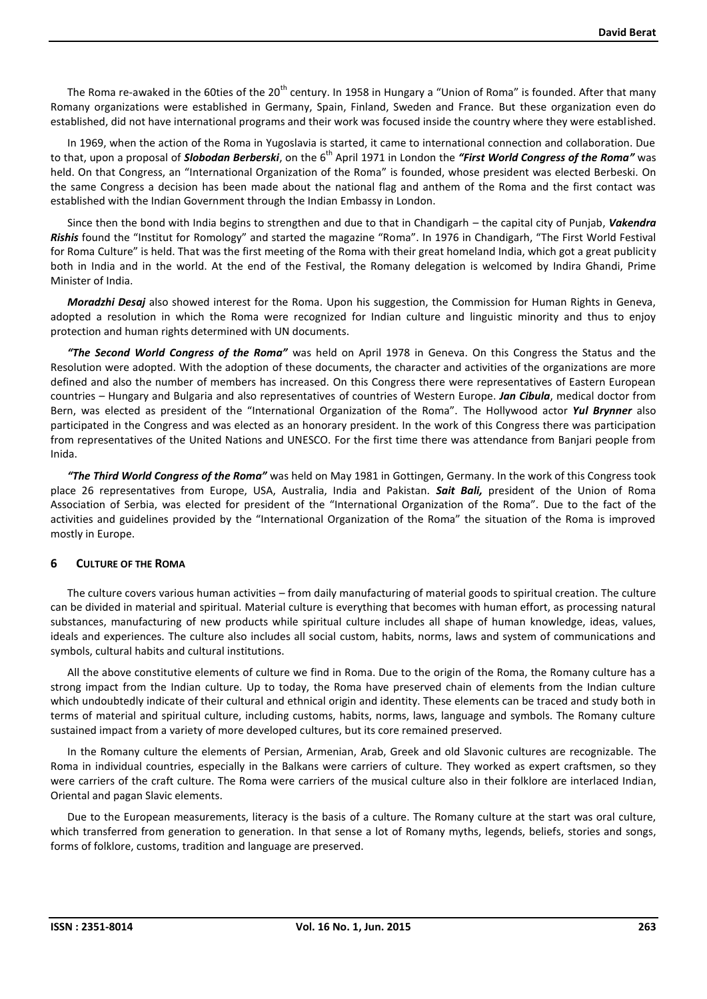The Roma re-awaked in the 60ties of the 20<sup>th</sup> century. In 1958 in Hungary a "Union of Roma" is founded. After that many Romany organizations were established in Germany, Spain, Finland, Sweden and France. But these organization even do established, did not have international programs and their work was focused inside the country where they were established.

In 1969, when the action of the Roma in Yugoslavia is started, it came to international connection and collaboration. Due to that, upon a proposal of *Slobodan Berberski*, on the 6<sup>th</sup> April 1971 in London the "First World Congress of the Roma" was held. On that Congress, an "International Organization of the Roma" is founded, whose president was elected Berbeski. On the same Congress a decision has been made about the national flag and anthem of the Roma and the first contact was established with the Indian Government through the Indian Embassy in London.

Since then the bond with India begins to strengthen and due to that in Chandigarh – the capital city of Punjab, *Vakendra Rishis* found the "Institut for Romology" and started the magazine "Roma". In 1976 in Chandigarh, "The First World Festival for Roma Culture" is held. That was the first meeting of the Roma with their great homeland India, which got a great publicity both in India and in the world. At the end of the Festival, the Romany delegation is welcomed by Indira Ghandi, Prime Minister of India.

*Moradzhi Desaj* also showed interest for the Roma. Upon his suggestion, the Commission for Human Rights in Geneva, adopted a resolution in which the Roma were recognized for Indian culture and linguistic minority and thus to enjoy protection and human rights determined with UN documents.

*"The Second World Congress of the Roma"* was held on April 1978 in Geneva. On this Congress the Status and the Resolution were adopted. With the adoption of these documents, the character and activities of the organizations are more defined and also the number of members has increased. On this Congress there were representatives of Eastern European countries – Hungary and Bulgaria and also representatives of countries of Western Europe. *Jan Cibula*, medical doctor from Bern, was elected as president of the "International Organization of the Roma". The Hollywood actor *Yul Brynner* also participated in the Congress and was elected as an honorary president. In the work of this Congress there was participation from representatives of the United Nations and UNESCO. For the first time there was attendance from Banjari people from Inida.

*"The Third World Congress of the Roma"* was held on May 1981 in Gottingen, Germany. In the work of this Congress took place 26 representatives from Europe, USA, Australia, India and Pakistan. *Sait Bali,* president of the Union of Roma Association of Serbia, was elected for president of the "International Organization of the Roma". Due to the fact of the activities and guidelines provided by the "International Organization of the Roma" the situation of the Roma is improved mostly in Europe.

# **6 CULTURE OF THE ROMA**

The culture covers various human activities – from daily manufacturing of material goods to spiritual creation. The culture can be divided in material and spiritual. Material culture is everything that becomes with human effort, as processing natural substances, manufacturing of new products while spiritual culture includes all shape of human knowledge, ideas, values, ideals and experiences. The culture also includes all social custom, habits, norms, laws and system of communications and symbols, cultural habits and cultural institutions.

All the above constitutive elements of culture we find in Roma. Due to the origin of the Roma, the Romany culture has a strong impact from the Indian culture. Up to today, the Roma have preserved chain of elements from the Indian culture which undoubtedly indicate of their cultural and ethnical origin and identity. These elements can be traced and study both in terms of material and spiritual culture, including customs, habits, norms, laws, language and symbols. The Romany culture sustained impact from a variety of more developed cultures, but its core remained preserved.

In the Romany culture the elements of Persian, Armenian, Arab, Greek and old Slavonic cultures are recognizable. The Roma in individual countries, especially in the Balkans were carriers of culture. They worked as expert craftsmen, so they were carriers of the craft culture. The Roma were carriers of the musical culture also in their folklore are interlaced Indian, Oriental and pagan Slavic elements.

Due to the European measurements, literacy is the basis of a culture. The Romany culture at the start was oral culture, which transferred from generation to generation. In that sense a lot of Romany myths, legends, beliefs, stories and songs, forms of folklore, customs, tradition and language are preserved.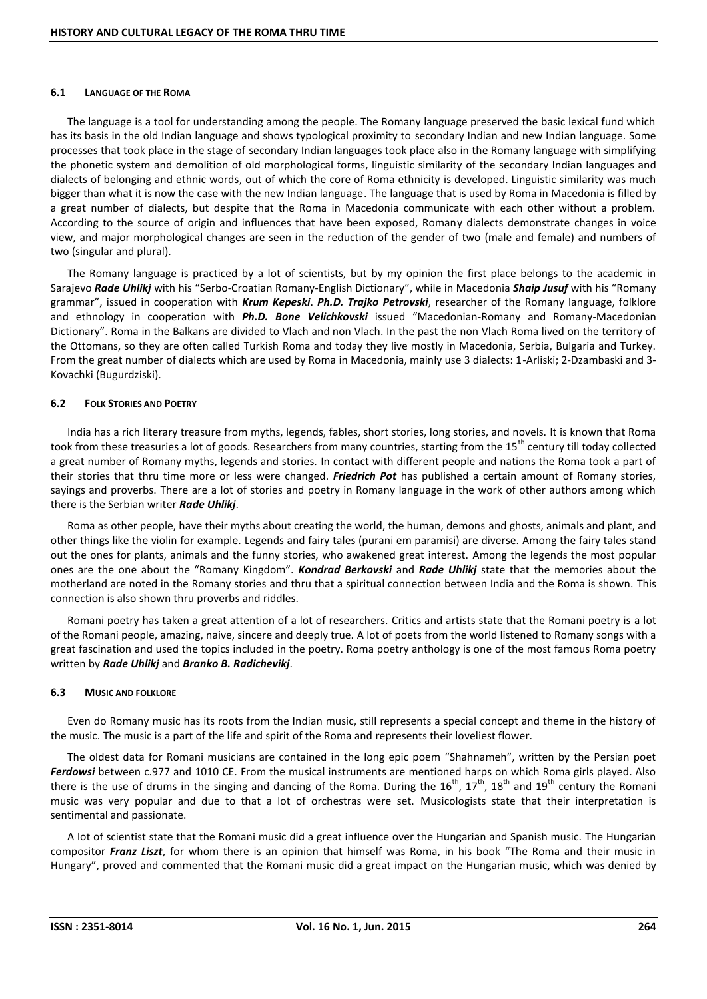#### **6.1 LANGUAGE OF THE ROMA**

The language is a tool for understanding among the people. The Romany language preserved the basic lexical fund which has its basis in the old Indian language and shows typological proximity to secondary Indian and new Indian language. Some processes that took place in the stage of secondary Indian languages took place also in the Romany language with simplifying the phonetic system and demolition of old morphological forms, linguistic similarity of the secondary Indian languages and dialects of belonging and ethnic words, out of which the core of Roma ethnicity is developed. Linguistic similarity was much bigger than what it is now the case with the new Indian language. The language that is used by Roma in Macedonia is filled by a great number of dialects, but despite that the Roma in Macedonia communicate with each other without a problem. According to the source of origin and influences that have been exposed, Romany dialects demonstrate changes in voice view, and major morphological changes are seen in the reduction of the gender of two (male and female) and numbers of two (singular and plural).

The Romany language is practiced by a lot of scientists, but by my opinion the first place belongs to the academic in Sarajevo *Rade Uhlikj* with his "Serbo-Croatian Romany-English Dictionary", while in Macedonia *Shaip Jusuf* with his "Romany grammar", issued in cooperation with *Krum Kepeski*. *Ph.D. Trajko Petrovski*, researcher of the Romany language, folklore and ethnology in cooperation with *Ph.D. Bone Velichkovski* issued "Macedonian-Romany and Romany-Macedonian Dictionary". Roma in the Balkans are divided to Vlach and non Vlach. In the past the non Vlach Roma lived on the territory of the Ottomans, so they are often called Turkish Roma and today they live mostly in Macedonia, Serbia, Bulgaria and Turkey. From the great number of dialects which are used by Roma in Macedonia, mainly use 3 dialects: 1-Arliski; 2-Dzambaski and 3- Kovachki (Bugurdziski).

# **6.2 FOLK STORIES AND POETRY**

India has a rich literary treasure from myths, legends, fables, short stories, long stories, and novels. It is known that Roma took from these treasuries a lot of goods. Researchers from many countries, starting from the 15<sup>th</sup> century till today collected a great number of Romany myths, legends and stories. In contact with different people and nations the Roma took a part of their stories that thru time more or less were changed. *Friedrich Pot* has published a certain amount of Romany stories, sayings and proverbs. There are a lot of stories and poetry in Romany language in the work of other authors among which there is the Serbian writer *Rade Uhlikj*.

Roma as other people, have their myths about creating the world, the human, demons and ghosts, animals and plant, and other things like the violin for example. Legends and fairy tales (purani em paramisi) are diverse. Among the fairy tales stand out the ones for plants, animals and the funny stories, who awakened great interest. Among the legends the most popular ones are the one about the "Romany Kingdom". *Kondrad Berkovski* and *Rade Uhlikj* state that the memories about the motherland are noted in the Romany stories and thru that a spiritual connection between India and the Roma is shown. This connection is also shown thru proverbs and riddles.

Romani poetry has taken a great attention of a lot of researchers. Critics and artists state that the Romani poetry is a lot of the Romani people, amazing, naive, sincere and deeply true. A lot of poets from the world listened to Romany songs with a great fascination and used the topics included in the poetry. Roma poetry anthology is one of the most famous Roma poetry written by *Rade Uhlikj* and *Branko B. Radichevikj*.

# **6.3 MUSIC AND FOLKLORE**

Even do Romany music has its roots from the Indian music, still represents a special concept and theme in the history of the music. The music is a part of the life and spirit of the Roma and represents their loveliest flower.

The oldest data for Romani musicians are contained in the long epic poem "Shahnameh", written by the Persian poet *Ferdowsi* between c.977 and 1010 CE. From the musical instruments are mentioned harps on which Roma girls played. Also there is the use of drums in the singing and dancing of the Roma. During the  $16^{th}$ ,  $17^{th}$ ,  $18^{th}$  and  $19^{th}$  century the Romani music was very popular and due to that a lot of orchestras were set. Musicologists state that their interpretation is sentimental and passionate.

A lot of scientist state that the Romani music did a great influence over the Hungarian and Spanish music. The Hungarian compositor *Franz Liszt*, for whom there is an opinion that himself was Roma, in his book "The Roma and their music in Hungary", proved and commented that the Romani music did a great impact on the Hungarian music, which was denied by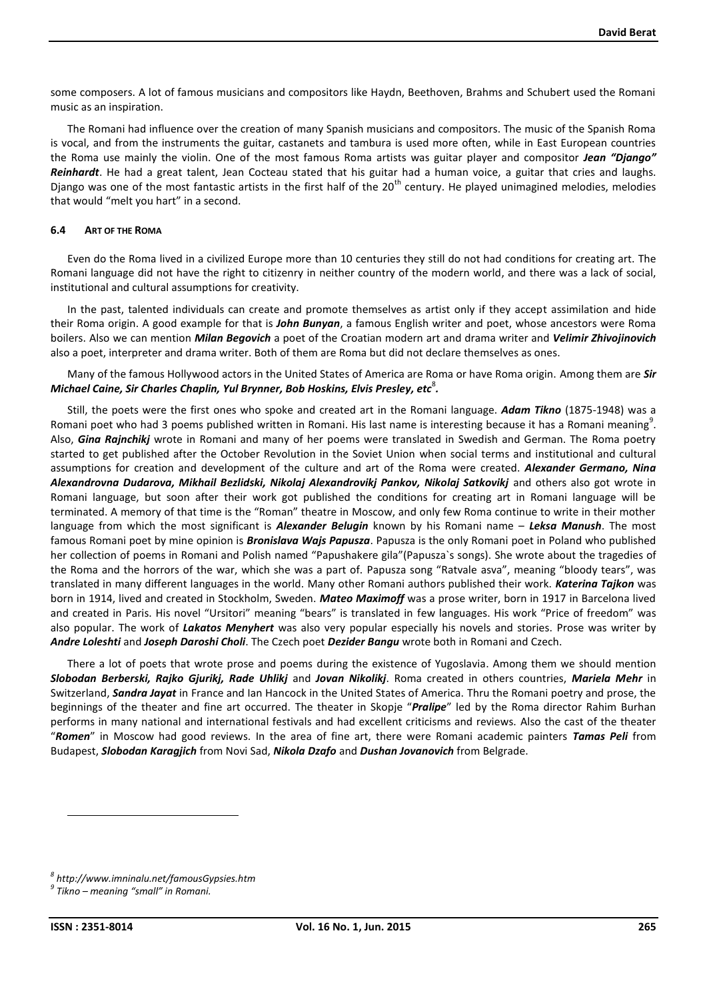some composers. A lot of famous musicians and compositors like Haydn, Beethoven, Brahms and Schubert used the Romani music as an inspiration.

The Romani had influence over the creation of many Spanish musicians and compositors. The music of the Spanish Roma is vocal, and from the instruments the guitar, castanets and tambura is used more often, while in East European countries the Roma use mainly the violin. One of the most famous Roma artists was guitar player and compositor *Jean "Django" Reinhardt*. He had a great talent, Jean Cocteau stated that his guitar had a human voice, a guitar that cries and laughs. Django was one of the most fantastic artists in the first half of the  $20^{th}$  century. He played unimagined melodies, melodies that would "melt you hart" in a second.

#### **6.4 ART OF THE ROMA**

Even do the Roma lived in a civilized Europe more than 10 centuries they still do not had conditions for creating art. The Romani language did not have the right to citizenry in neither country of the modern world, and there was a lack of social, institutional and cultural assumptions for creativity.

In the past, talented individuals can create and promote themselves as artist only if they accept assimilation and hide their Roma origin. A good example for that is *John Bunyan*, a famous English writer and poet, whose ancestors were Roma boilers. Also we can mention *Milan Begovich* a poet of the Croatian modern art and drama writer and *Velimir Zhivojinovich* also a poet, interpreter and drama writer. Both of them are Roma but did not declare themselves as ones.

Many of the famous Hollywood actors in the United States of America are Roma or have Roma origin. Among them are *Sir Michael Caine, Sir Charles Chaplin, Yul Brynner, Bob Hoskins, Elvis Presley, etc*<sup>8</sup> *.*

Still, the poets were the first ones who spoke and created art in the Romani language. *Adam Tikno* (1875-1948) was a Romani poet who had 3 poems published written in Romani. His last name is interesting because it has a Romani meaning $^9$ . Also, *Gina Rajnchikj* wrote in Romani and many of her poems were translated in Swedish and German. The Roma poetry started to get published after the October Revolution in the Soviet Union when social terms and institutional and cultural assumptions for creation and development of the culture and art of the Roma were created. *Alexander Germano, Nina Alexandrovna Dudarova, Mikhail Bezlidski, Nikolaj Alexandrovikj Pankov, Nikolaj Satkovikj* and others also got wrote in Romani language, but soon after their work got published the conditions for creating art in Romani language will be terminated. A memory of that time is the "Roman" theatre in Moscow, and only few Roma continue to write in their mother language from which the most significant is *Alexander Belugin* known by his Romani name – *Leksa Manush*. The most famous Romani poet by mine opinion is *Bronislava Wajs Papusza*. Papusza is the only Romani poet in Poland who published her collection of poems in Romani and Polish named "Papushakere gila"(Papusza`s songs). She wrote about the tragedies of the Roma and the horrors of the war, which she was a part of. Papusza song "Ratvale asva", meaning "bloody tears", was translated in many different languages in the world. Many other Romani authors published their work. *Katerina Tajkon* was born in 1914, lived and created in Stockholm, Sweden. *Mateo Maximoff* was a prose writer, born in 1917 in Barcelona lived and created in Paris. His novel "Ursitori" meaning "bears" is translated in few languages. His work "Price of freedom" was also popular. The work of *Lakatos Menyhert* was also very popular especially his novels and stories. Prose was writer by *Andre Loleshti* and *Joseph Daroshi Choli*. The Czech poet *Dezider Bangu* wrote both in Romani and Czech.

There a lot of poets that wrote prose and poems during the existence of Yugoslavia. Among them we should mention *Slobodan Berberski, Rajko Gjurikj, Rade Uhlikj* and *Jovan Nikolikj*. Roma created in others countries, *Mariela Mehr* in Switzerland, *Sandra Jayat* in France and Ian Hancock in the United States of America. Thru the Romani poetry and prose, the beginnings of the theater and fine art occurred. The theater in Skopje "*Pralipe*" led by the Roma director Rahim Burhan performs in many national and international festivals and had excellent criticisms and reviews. Also the cast of the theater "*Romen*" in Moscow had good reviews. In the area of fine art, there were Romani academic painters *Tamas Peli* from Budapest, *Slobodan Karagjich* from Novi Sad, *Nikola Dzafo* and *Dushan Jovanovich* from Belgrade.

*<sup>8</sup> http://www.imninalu.net/famousGypsies.htm*

*<sup>9</sup> Tikno – meaning "small" in Romani.*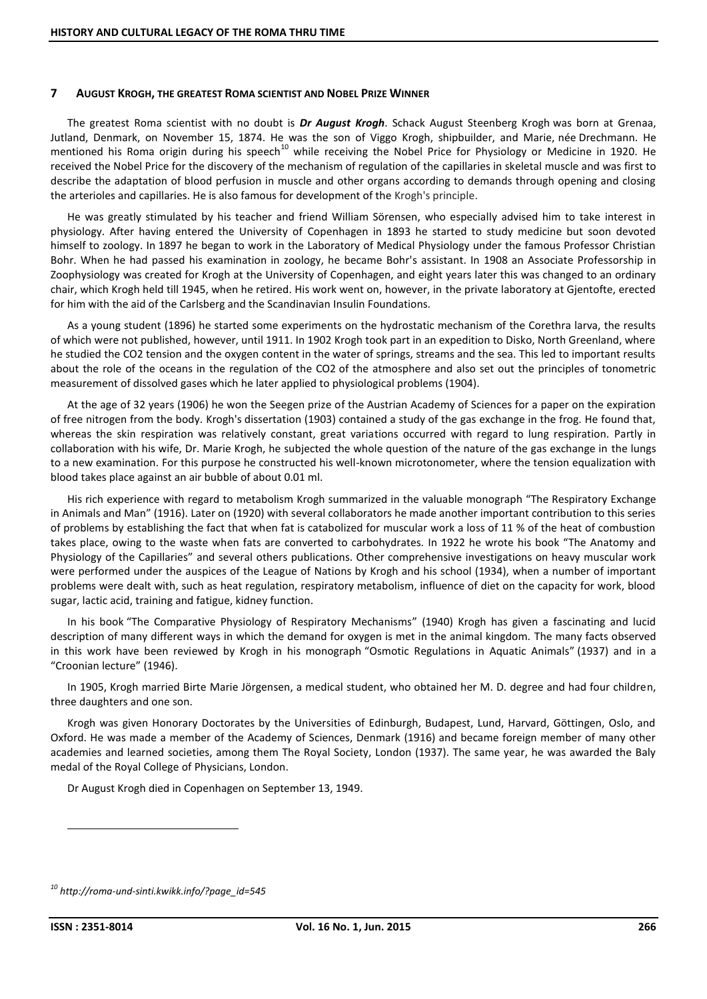#### **7 AUGUST KROGH, THE GREATEST ROMA SCIENTIST AND NOBEL PRIZE WINNER**

The greatest Roma scientist with no doubt is *Dr August Krogh*. Schack August Steenberg Krogh was born at Grenaa, Jutland, Denmark, on November 15, 1874. He was the son of Viggo Krogh, shipbuilder, and Marie, née Drechmann. He mentioned his Roma origin during his speech<sup>10</sup> while receiving the Nobel Price for Physiology or Medicine in 1920. He received the Nobel Price for the discovery of the mechanism of regulation of the capillaries in skeletal muscle and was first to describe the adaptation of blood perfusion in muscle and other organs according to demands through opening and closing the arterioles and capillaries. He is also famous for development of the Krogh's principle.

He was greatly stimulated by his teacher and friend William Sörensen, who especially advised him to take interest in physiology. After having entered the University of Copenhagen in 1893 he started to study medicine but soon devoted himself to zoology. In 1897 he began to work in the Laboratory of Medical Physiology under the famous Professor Christian Bohr. When he had passed his examination in zoology, he became Bohr's assistant. In 1908 an Associate Professorship in Zoophysiology was created for Krogh at the University of Copenhagen, and eight years later this was changed to an ordinary chair, which Krogh held till 1945, when he retired. His work went on, however, in the private laboratory at Gjentofte, erected for him with the aid of the Carlsberg and the Scandinavian Insulin Foundations.

As a young student (1896) he started some experiments on the hydrostatic mechanism of the Corethra larva, the results of which were not published, however, until 1911. In 1902 Krogh took part in an expedition to Disko, North Greenland, where he studied the CO2 tension and the oxygen content in the water of springs, streams and the sea. This led to important results about the role of the oceans in the regulation of the CO2 of the atmosphere and also set out the principles of tonometric measurement of dissolved gases which he later applied to physiological problems (1904).

At the age of 32 years (1906) he won the Seegen prize of the Austrian Academy of Sciences for a paper on the expiration of free nitrogen from the body. Krogh's dissertation (1903) contained a study of the gas exchange in the frog. He found that, whereas the skin respiration was relatively constant, great variations occurred with regard to lung respiration. Partly in collaboration with his wife, Dr. Marie Krogh, he subjected the whole question of the nature of the gas exchange in the lungs to a new examination. For this purpose he constructed his well-known microtonometer, where the tension equalization with blood takes place against an air bubble of about 0.01 ml.

His rich experience with regard to metabolism Krogh summarized in the valuable monograph "The Respiratory Exchange in Animals and Man" (1916). Later on (1920) with several collaborators he made another important contribution to this series of problems by establishing the fact that when fat is catabolized for muscular work a loss of 11 % of the heat of combustion takes place, owing to the waste when fats are converted to carbohydrates. In 1922 he wrote his book "The Anatomy and Physiology of the Capillaries" and several others publications. Other comprehensive investigations on heavy muscular work were performed under the auspices of the League of Nations by Krogh and his school (1934), when a number of important problems were dealt with, such as heat regulation, respiratory metabolism, influence of diet on the capacity for work, blood sugar, lactic acid, training and fatigue, kidney function.

In his book "The Comparative Physiology of Respiratory Mechanisms" (1940) Krogh has given a fascinating and lucid description of many different ways in which the demand for oxygen is met in the animal kingdom. The many facts observed in this work have been reviewed by Krogh in his monograph "Osmotic Regulations in Aquatic Animals" (1937) and in a "Croonian lecture" (1946).

In 1905, Krogh married Birte Marie Jörgensen, a medical student, who obtained her M. D. degree and had four children, three daughters and one son.

Krogh was given Honorary Doctorates by the Universities of Edinburgh, Budapest, Lund, Harvard, Göttingen, Oslo, and Oxford. He was made a member of the Academy of Sciences, Denmark (1916) and became foreign member of many other academies and learned societies, among them The Royal Society, London (1937). The same year, he was awarded the Baly medal of the Royal College of Physicians, London.

Dr August Krogh died in Copenhagen on September 13, 1949.

*<sup>10</sup> http://roma-und-sinti.kwikk.info/?page\_id=545*